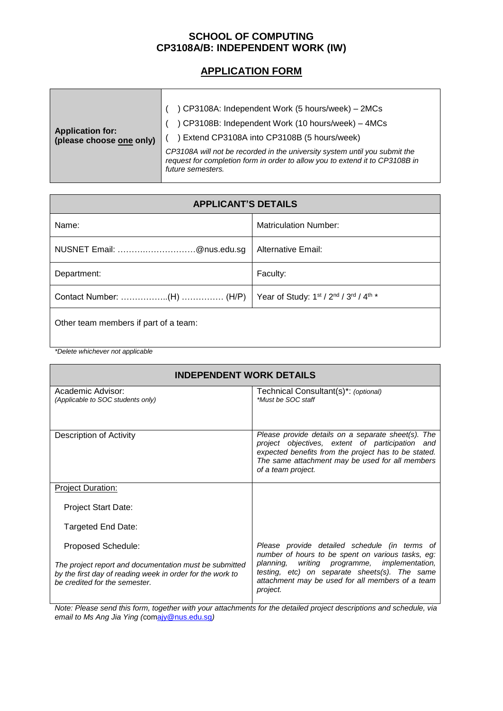## **SCHOOL OF COMPUTING CP3108A/B: INDEPENDENT WORK (IW)**

## **APPLICATION FORM**

| <b>Application for:</b><br>(please choose one only) | ) CP3108A: Independent Work (5 hours/week) - 2MCs<br>) CP3108B: Independent Work (10 hours/week) - 4MCs<br>Extend CP3108A into CP3108B (5 hours/week)                           |
|-----------------------------------------------------|---------------------------------------------------------------------------------------------------------------------------------------------------------------------------------|
|                                                     | CP3108A will not be recorded in the university system until you submit the<br>request for completion form in order to allow you to extend it to CP3108B in<br>future semesters. |

| <b>APPLICANT'S DETAILS</b>            |                                        |  |
|---------------------------------------|----------------------------------------|--|
| Name:                                 | <b>Matriculation Number:</b>           |  |
| NUSNET Email: @nus.edu.sg             | <b>Alternative Email:</b>              |  |
| Department:                           | Faculty:                               |  |
|                                       | Year of Study: 1st / 2nd / 3rd / 4th * |  |
| Other team members if part of a team: |                                        |  |

*\*Delete whichever not applicable*

## **INDEPENDENT WORK DETAILS**

| Academic Advisor:<br>(Applicable to SOC students only)                                                                                               | Technical Consultant(s)*: (optional)<br>*Must be SOC staff                                                                                                                                                                             |
|------------------------------------------------------------------------------------------------------------------------------------------------------|----------------------------------------------------------------------------------------------------------------------------------------------------------------------------------------------------------------------------------------|
| <b>Description of Activity</b>                                                                                                                       | Please provide details on a separate sheet(s). The<br>project objectives, extent of participation and<br>expected benefits from the project has to be stated.<br>The same attachment may be used for all members<br>of a team project. |
| <b>Project Duration:</b>                                                                                                                             |                                                                                                                                                                                                                                        |
| <b>Project Start Date:</b>                                                                                                                           |                                                                                                                                                                                                                                        |
| Targeted End Date:                                                                                                                                   |                                                                                                                                                                                                                                        |
| Proposed Schedule:                                                                                                                                   | Please provide detailed schedule (in terms of<br>number of hours to be spent on various tasks, eg:                                                                                                                                     |
| The project report and documentation must be submitted<br>by the first day of reading week in order for the work to<br>be credited for the semester. | writing programme, implementation,<br>planning,<br>testing, etc) on separate sheets(s). The same<br>attachment may be used for all members of a team<br>project.                                                                       |
|                                                                                                                                                      |                                                                                                                                                                                                                                        |

*Note: Please send this form, together with your attachments for the detailed project descriptions and schedule, via email to Ms Ang Jia Ying (*co[majy@nus.edu.sg](mailto:ajy@nus.edu.sg)*)*